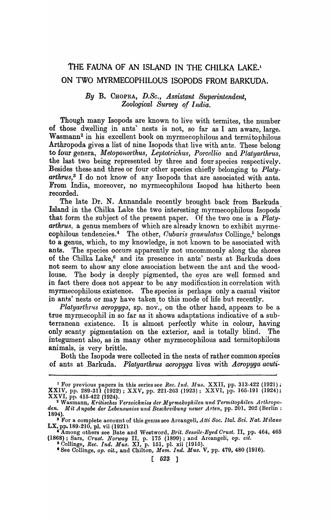## THE FAUNA OF AN ISLAND IN THE CHILKA LAKE.<sup>1</sup> ON TWO MYRMECOPHILOUS ISOPODS FROM BARKUDA.

## *By* B. CHOPRA, *D.Sc.*, *Assistant Superintendent*, *Zoological Survey of India.*

Though many Isopods are known to live with termites, the number of those dwelling in ants' nests is not, so far as I am aware, large. Wasmann<sup>2</sup> in his excellent book on myrmecophilous and termitophilous Arthropoda gives a list of nine Isopods that live with ants. These belong to four genera, *Metoponorthus, Leptotrichus, Porcellio* and *Platyarthrus*, the last two being represented by three and four species respectively. Besides these and three or four other species chiefly belonging to *Platyarthru8,3* I do not know of any Isopods that are associated with ants. From India, moreover, no myrnecophilous Isopod has hitherto been recorded.

The late Dr. N. Annandale recently brought back from Barkuda Island in the Chilka Lake the two interesting myrmecophilous Isopods' that form the subject of the present paper. Of the two one is a *Platy*arthrus, a genus members of which are already known to exhibit myrmecophilous tendencies.<sup>4</sup> The other, *Cubaris granulatus* Collinge,<sup>5</sup> belongs to a genus, which, to my knowledge, is not known to be associated with ants. The species occurs apparently not uncommonly along the shores of the Chilka Lake,<sup>6</sup> and its presence in ants' nests at Barkuda does not seem to show any close association between the ant and the woodlouse. The body is deeply pigmented, the eyes are well formed and in fact there does not appear to be any modification in correlation with myrmecophilous existence. The species is perhaps only a casual visitor in ants' nests or may have taken to this mode of life but recently.

*Platyarthrus acropyga*, sp. nov., on the other hand, appears to be a true myrmecophil in so far as it shows adaptations indicative of a subterranean existence. It is almost perfectly white in colour, having only scanty pigmentation on the exterior, and is totally blind. The integument also, as in many other myrmecophilous and termitophilous animals, is very brittle.

Both the Isopods were collected in the nests of rather common species of ants at Barkuda. *Platyarthrus acropyga* lives with *Acropyga aeuti ..* 

<sup>&</sup>lt;sup>1</sup> For previous papers in this series see *Rec. Ind. Mus.* XXII, pp. 313-422 (1921); **XXIV, pp. 289-311 (1922); XXV, pp. 221-263 (1923); XXVI, pp. 165-191 (1924);** XXVI, pp. 415-422 (1924).

<sup>&</sup>lt;sup>2</sup> Wasmann, *Kritisches Verzeichniss der Myrmekophilen und Termitophilen Arthropoden. Mit Angabe der Lebensweise und Beschreibung neuer Arten,* pp. 201, 202 (Berlin: 1894).

<sup>&</sup>lt;sup>3</sup> For a complete account of this genus see Arcangeli, Atti Soc. Ital. Sci. Nat. Milano LX, pp.189.210, pl. vii (1921).

<sup>41</sup> Among others see Bate and Westword, *Brit. Sessile-Eyed Crust.* II, pp. 464, 465 (1868) ; Sars, *Crust. Norway* II, p. 175 (1899); and Al'cangeli, *Opt cit.* 

<sup>6</sup>Collinge, *Rec. Ind. Mus.* XI, p. 151, pI. xii (1915).

<sup>•</sup> See Collinge, *Ope cit.,* and Chilton, *Mem. Ind. Mus.* V, pp. 479, 480 (1916).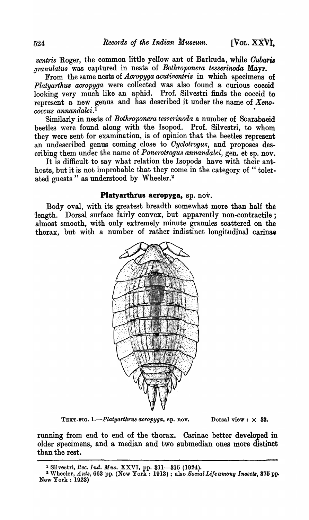*ventris* Roger, the common little yellow ant of Barkuda, while *Cubaris granulatus* was captured in nests of *Bothroponera tesserinoda* Mayr.<br>From the same nests of *Acropyga acutiventris* in which specimens of

*Platyarthus acropyga* were collected was also found a curious coccid looking very much like an aphid. Prof. Silvestri finds the coccid to represent a new genus and has described it under the name of *Xenococcus annandalei.*<sup>1</sup>

Similarly in nests of *Bothroponera tesserinoda* a number of Scarabaeid beetles were found along with the Isopod. Prof. Silvestri, to whom they were sent for examination, is of opinion that the beetles represent an undescribed genus coming close to  $Cyclotrogus$ , and proposes describing them under the name of *Ponerotrogus annandalei,* gen. et sp. nov.

It is difficult to say what relation the Isopods have with their anthosts, but it is not improbable that they come in the category of " tolerated guests" as understood by Wheeler.<sup>2</sup>

## Platyarthrus acropyga, sp. nov.

Body oval, with its greatest breadth somewhat more than half the ·length. Dorsal surface fairly convex, but apparently non-contractile; almost smooth, with only extremely minute granules scattered on the thorax, but with a number of rather indistinct longitudinal carinae



TEXT-FIG. 1.-Platyarthrus acropyga, sp. nov. Dorsal view:  $\times$  33.

running from end to end of the thorax. Carinae better developed in older specimens, and a median and two submedian ones more distinct than the rest.

<sup>&</sup>lt;sup>1</sup> Silvestri, *Rec. Ind. Mus.* XXVI, pp. 311-315 (1924).

<sup>&</sup>lt;sup>2</sup> Wheeler, *Ants*, 663 pp. (New York: 1913); also *Social Life among Insects*, 375 pp. New York: 1923)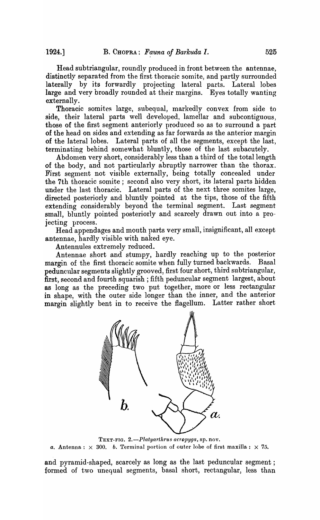Head subtriangular, roundly produced in front between the antennae, distinctly separated from the first thoracic somite, and partly surrounded laterally by its forwardly projecting lateral parts. Lateral lobes large and very broadly rounded at their margins. Eyes totally wanting externally.

Thoracic somites large, subequal, markedly convex from side to side, their lateral parts well developed, lamellar and subcontiguous, those of the first segment anteriorly produced so as to surround a part of the head on sides and extending as far forwards as the anterior margin of the lateral lobes. Lateral parts of all the segments, except the last, terminating behind somewhat bluntly, those of the last subacutely.

Abdomen very short, considerably less than a third of the total length of the body, and not particularly abruptly narrower than the thorax. First segment not visible externally, being totally concealed under the 7th thoracic somite; second also very short, its lateral parts hidden under the last thoracic. Lateral parts of the next three somites large, directed posteriorly and bluntly pointed at the tips, those of the fifth extending considerably beyond the terminal segment. Last segment small, bluntly pointed posteriorly and scarcely drawn out into a projecting process.

Head appendages and mouth parts very small, insignificant, all except antennae, hardly visible with naked eye.

Antennules extremely reduced.

Antennae short and stumpy, hardly reaching up to the posterior margin of the first thoracic somite when fully turned backwards. Rasal peduncular segments slightly grooved, first four short, third subtriangular, first, second and fourth squarish; fifth peduncular segment largest, about as long as the preceding two put together, more or less rectangular in shape, with the outer side longer than the inner, and the anterior margin slightly bent in to receive the flagellum. Latter rather short



TEXT-FIG. 2.-Platyarthrus acropyga, sp. nov. *a.* Antenna:  $\times$  300. *b.* Terminal portion of outer lobe of first maxilla:  $\times$  75.

and pyramid-shaped, scarcely as long as the last peduncular segment; formed of two unequal segments, basal short, rectangular, less than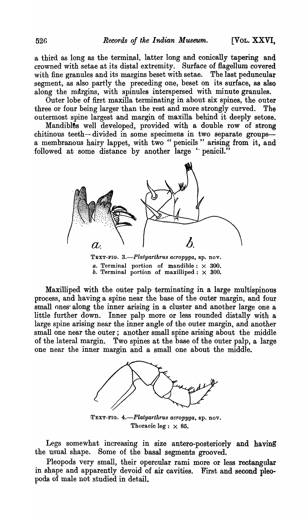a third as long as the terminal, latter long and conically tapering and crowned with setae at its distal extremity. Surface of flagellum covered with fine granules and its margins beset with setae. The last peduncular segment, as also partly the preceding one, beset on its surface, as also along the mdrgins, with spinules interspersed with minute granules.

Outer lobe of first maxilla terminating in about six spines, the outer three or four being larger than the rest and more strongly curved. The outermost spine largest and margin of maxilla behind it deeply setose.

Mandibles well developed, provided with a double row of strong chitinous teeth-divided in some specimens in two separate groupsa membranous hairy lappet, with two "penicils" arising from it, and followed at some distance by another large "penicil."



TEXT-FIG. 3.-Platyarthrus acropyga, sp. nov. *a.* Terminal portion of mandible:  $\times$  300. *b.* Terminal portion of maxilliped:  $\times$  300.

Maxilliped with the outer palp· terminating in a large multispinous process, and having a spine near the base of the outer margin, and four small ones along the inner arising in a cluster and another large one a little further down. Inner palp more or less rounded distally with a large spine arising near the inner angle of the outer margin, and another small one near the outer; another small spine arising about the middle of the lateral margin. Two spines at the base of the outer palp, a large one near the inner margin and a small one about the middle.



TEXT-FIG. 4.-Platyarthrus acropyga, sp. nov. Thoracic leg :  $\times$  85.

Legs somewhat increasing in size antero-posteriorly and. having the usual shape. Some of the basal segments grooved.

Pleopods very small, their opercular rami more or less rectangular in shape and apparently devoid of air cavities. First and second pleo pods of male not studied in detail.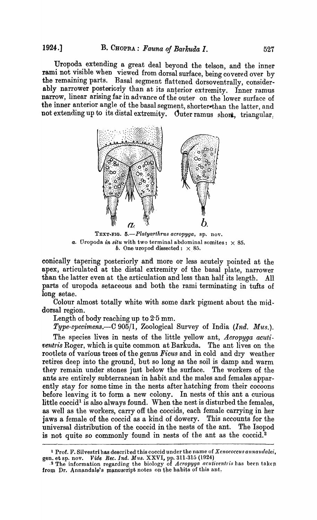Uropoda extending a great deal beyond the telson, and the inner rami not visible when viewed from dorsal surface, being covered over by the remaining parts. Basal segment flattened dorsoventrally, considerably narrower posteriorly than at its anterior extremity. Inner ramus narrow, linear arising far in advance of the outer on the lower surface of the inner anterior angle of the basal segment, shorter-than the latter, and not extending up to its distal extremity. Outer ramus short, triangular;



TEXT-FIG. 5.-Platyarthrus acropyga, sp. nov. *a.* Uropoda *in situ* with two terminal abdominal somites:  $\times$  85. *b.* One uroupd dissected:  $\times$  85.

conically tapering posteriorly and more or less acutely pointed at the apex, articulated at the distal extremity of the basal plate, narrower than the latter even at the articulation and less than half its length. All parts of uropoda setaceous and both the rami terminating in tufts of long. setae.

Colour almost totally white with some dark pigment about the middorsal region.

Length of body reaching up to 2'5 mm.

*Type-specimens.*—C 905/1, Zoological Survey of India *(Ind. Mus.).* 

The species lives in nests of the little yellow ant, *Acropyga acuti*ventris Roger, which is quite common at Barkuda. The ant lives on the rootlets of various trees of the genus *Ficus* and in cold and dry weather retires deep into the ground, but so long as the soil is damp and warm they remain under stones just below the surface. The workers of the ants are entirely subterranean in habit and the males and females apparently stay for some time in the nests after hatching from their cocoons before leaving it to form a new colony. In nests of this ant a curious little  $\mathrm{cocid}^1$  is also always found. When the nest is disturbed the females, as well as the workers, carry off the coccids, each female carrying in her jaws a female of the coccid as a kind of dowery. This accounts for the universal distribution of the coccid in the nests of the ant. The Isopod is not quite so commonly found in nests of the ant as the coccid.<sup>2</sup>

<sup>&</sup>lt;sup>1</sup> Prof. F. Silvestri has described this coccid under the name of *Xenococcus annandalei*, gen. et sp. nov. *Vide Rec. Ind. Mus. XXVI*, pp. 311-315 (1924)

<sup>&</sup>lt;sup>2</sup> The information regarding the biology of *Acropyga acutiventris* has been taken from Dr. Annandale's manuscript notes on the habits of this ant.